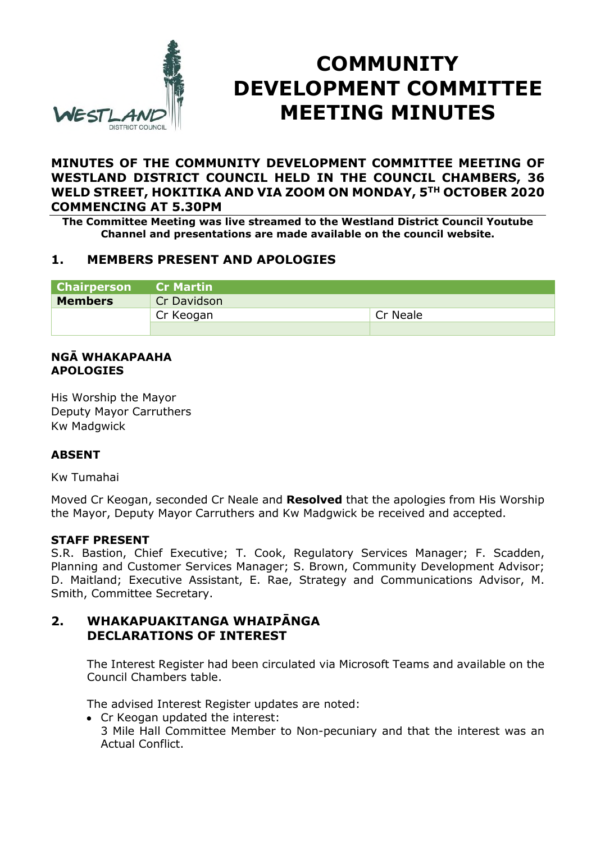

# **COMMUNITY DEVELOPMENT COMMITTEE MEETING MINUTES**

## **MINUTES OF THE COMMUNITY DEVELOPMENT COMMITTEE MEETING OF WESTLAND DISTRICT COUNCIL HELD IN THE COUNCIL CHAMBERS, 36 WELD STREET, HOKITIKA AND VIA ZOOM ON MONDAY, 5TH OCTOBER 2020 COMMENCING AT 5.30PM**

**The Committee Meeting was live streamed to the Westland District Council Youtube Channel and presentations are made available on the council website.** 

# **1. MEMBERS PRESENT AND APOLOGIES**

| <b>Chairperson</b> | <b>Cr Martin</b> |          |
|--------------------|------------------|----------|
| <b>Members</b>     | Cr Davidson      |          |
|                    | Cr Keogan        | Cr Neale |
|                    |                  |          |

#### **NGĀ WHAKAPAAHA APOLOGIES**

His Worship the Mayor Deputy Mayor Carruthers Kw Madgwick

### **ABSENT**

Kw Tumahai

Moved Cr Keogan, seconded Cr Neale and **Resolved** that the apologies from His Worship the Mayor, Deputy Mayor Carruthers and Kw Madgwick be received and accepted.

### **STAFF PRESENT**

S.R. Bastion, Chief Executive; T. Cook, Regulatory Services Manager; F. Scadden, Planning and Customer Services Manager; S. Brown, Community Development Advisor; D. Maitland; Executive Assistant, E. Rae, Strategy and Communications Advisor, M. Smith, Committee Secretary.

## **2. WHAKAPUAKITANGA WHAIPĀNGA DECLARATIONS OF INTEREST**

The Interest Register had been circulated via Microsoft Teams and available on the Council Chambers table.

The advised Interest Register updates are noted:

• Cr Keogan updated the interest: 3 Mile Hall Committee Member to Non-pecuniary and that the interest was an Actual Conflict.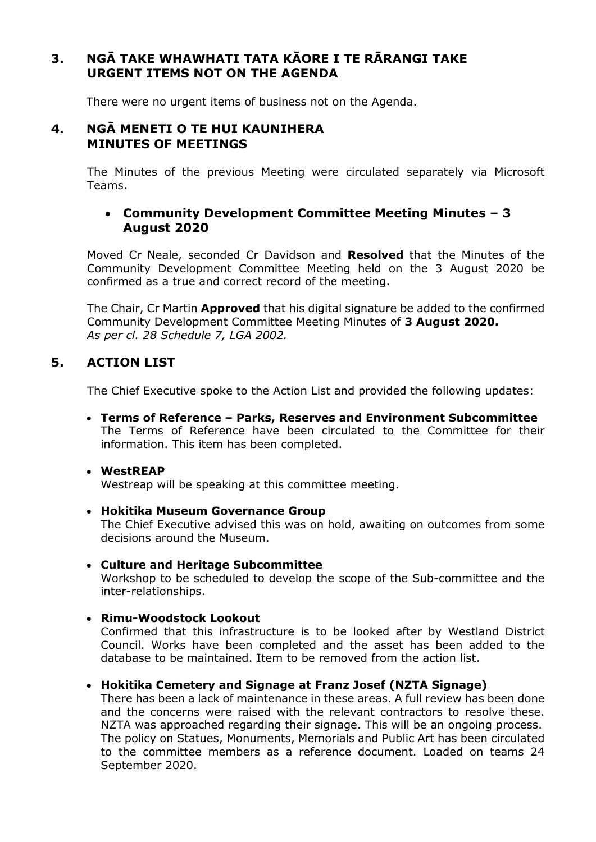# **3. NGĀ TAKE WHAWHATI TATA KĀORE I TE RĀRANGI TAKE URGENT ITEMS NOT ON THE AGENDA**

There were no urgent items of business not on the Agenda.

## **4. NGĀ MENETI O TE HUI KAUNIHERA MINUTES OF MEETINGS**

The Minutes of the previous Meeting were circulated separately via Microsoft Teams.

## **Community Development Committee Meeting Minutes – 3 August 2020**

Moved Cr Neale, seconded Cr Davidson and **Resolved** that the Minutes of the Community Development Committee Meeting held on the 3 August 2020 be confirmed as a true and correct record of the meeting.

The Chair, Cr Martin **Approved** that his digital signature be added to the confirmed Community Development Committee Meeting Minutes of **3 August 2020.** *As per cl. 28 Schedule 7, LGA 2002.* 

# **5. ACTION LIST**

The Chief Executive spoke to the Action List and provided the following updates:

 **Terms of Reference – Parks, Reserves and Environment Subcommittee**  The Terms of Reference have been circulated to the Committee for their information. This item has been completed.

### **WestREAP**

Westreap will be speaking at this committee meeting.

#### **Hokitika Museum Governance Group**

The Chief Executive advised this was on hold, awaiting on outcomes from some decisions around the Museum.

#### **Culture and Heritage Subcommittee**

Workshop to be scheduled to develop the scope of the Sub-committee and the inter-relationships.

### **Rimu-Woodstock Lookout**

Confirmed that this infrastructure is to be looked after by Westland District Council. Works have been completed and the asset has been added to the database to be maintained. Item to be removed from the action list.

### **Hokitika Cemetery and Signage at Franz Josef (NZTA Signage)**

There has been a lack of maintenance in these areas. A full review has been done and the concerns were raised with the relevant contractors to resolve these. NZTA was approached regarding their signage. This will be an ongoing process. The policy on Statues, Monuments, Memorials and Public Art has been circulated to the committee members as a reference document. Loaded on teams 24 September 2020.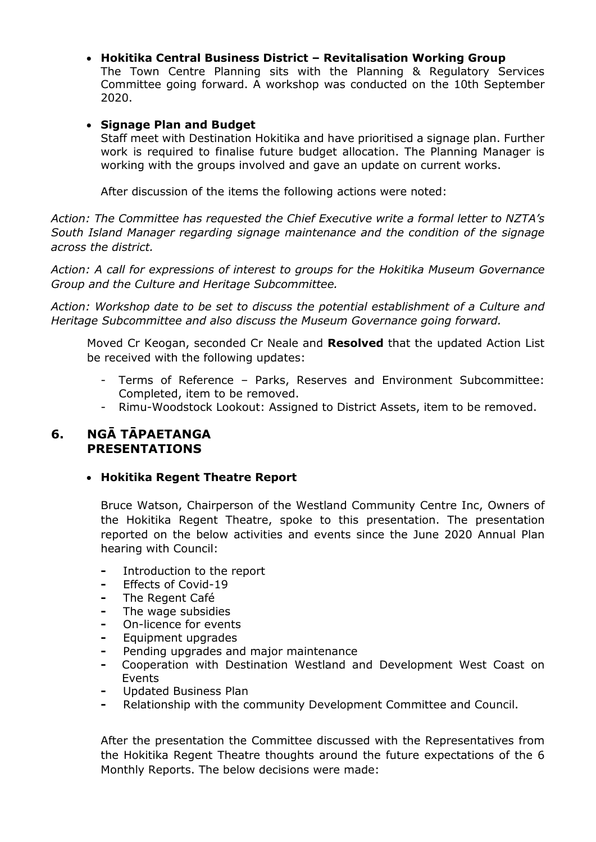## **Hokitika Central Business District – Revitalisation Working Group**

The Town Centre Planning sits with the Planning & Regulatory Services Committee going forward. A workshop was conducted on the 10th September 2020.

#### **Signage Plan and Budget**

Staff meet with Destination Hokitika and have prioritised a signage plan. Further work is required to finalise future budget allocation. The Planning Manager is working with the groups involved and gave an update on current works.

After discussion of the items the following actions were noted:

*Action: The Committee has requested the Chief Executive write a formal letter to NZTA's South Island Manager regarding signage maintenance and the condition of the signage across the district.* 

*Action: A call for expressions of interest to groups for the Hokitika Museum Governance Group and the Culture and Heritage Subcommittee.* 

*Action: Workshop date to be set to discuss the potential establishment of a Culture and Heritage Subcommittee and also discuss the Museum Governance going forward.* 

Moved Cr Keogan, seconded Cr Neale and **Resolved** that the updated Action List be received with the following updates:

- Terms of Reference Parks, Reserves and Environment Subcommittee: Completed, item to be removed.
- Rimu-Woodstock Lookout: Assigned to District Assets, item to be removed.

# **6. NGĀ TĀPAETANGA PRESENTATIONS**

### **Hokitika Regent Theatre Report**

Bruce Watson, Chairperson of the Westland Community Centre Inc, Owners of the Hokitika Regent Theatre, spoke to this presentation. The presentation reported on the below activities and events since the June 2020 Annual Plan hearing with Council:

- **-** Introduction to the report
- **-** Effects of Covid-19
- **-** The Regent Café
- **-** The wage subsidies
- **-** On-licence for events
- **-** Equipment upgrades
- **-** Pending upgrades and major maintenance
- **-** Cooperation with Destination Westland and Development West Coast on Events
- **-** Updated Business Plan
- **-** Relationship with the community Development Committee and Council.

After the presentation the Committee discussed with the Representatives from the Hokitika Regent Theatre thoughts around the future expectations of the 6 Monthly Reports. The below decisions were made: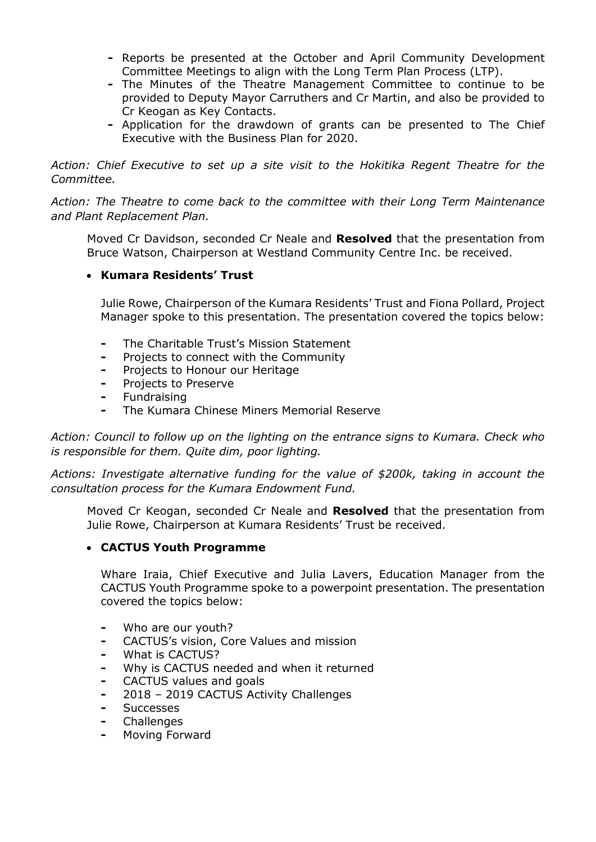- **-** Reports be presented at the October and April Community Development Committee Meetings to align with the Long Term Plan Process (LTP).
- **-** The Minutes of the Theatre Management Committee to continue to be provided to Deputy Mayor Carruthers and Cr Martin, and also be provided to Cr Keogan as Key Contacts.
- **-** Application for the drawdown of grants can be presented to The Chief Executive with the Business Plan for 2020.

*Action: Chief Executive to set up a site visit to the Hokitika Regent Theatre for the Committee.* 

*Action: The Theatre to come back to the committee with their Long Term Maintenance and Plant Replacement Plan.* 

Moved Cr Davidson, seconded Cr Neale and **Resolved** that the presentation from Bruce Watson, Chairperson at Westland Community Centre Inc. be received.

## **Kumara Residents' Trust**

Julie Rowe, Chairperson of the Kumara Residents' Trust and Fiona Pollard, Project Manager spoke to this presentation. The presentation covered the topics below:

- **-** The Charitable Trust's Mission Statement
- **-** Projects to connect with the Community
- **-** Projects to Honour our Heritage
- **-** Projects to Preserve
- **-** Fundraising
- **-** The Kumara Chinese Miners Memorial Reserve

*Action: Council to follow up on the lighting on the entrance signs to Kumara. Check who is responsible for them. Quite dim, poor lighting.* 

*Actions: Investigate alternative funding for the value of \$200k, taking in account the consultation process for the Kumara Endowment Fund.* 

Moved Cr Keogan, seconded Cr Neale and **Resolved** that the presentation from Julie Rowe, Chairperson at Kumara Residents' Trust be received.

#### **CACTUS Youth Programme**

Whare Iraia, Chief Executive and Julia Lavers, Education Manager from the CACTUS Youth Programme spoke to a powerpoint presentation. The presentation covered the topics below:

- **-** Who are our youth?
- **-** CACTUS's vision, Core Values and mission
- **-** What is CACTUS?
- **-** Why is CACTUS needed and when it returned
- **-** CACTUS values and goals
- **-** 2018 2019 CACTUS Activity Challenges
- **-** Successes
- **-** Challenges
- **-** Moving Forward